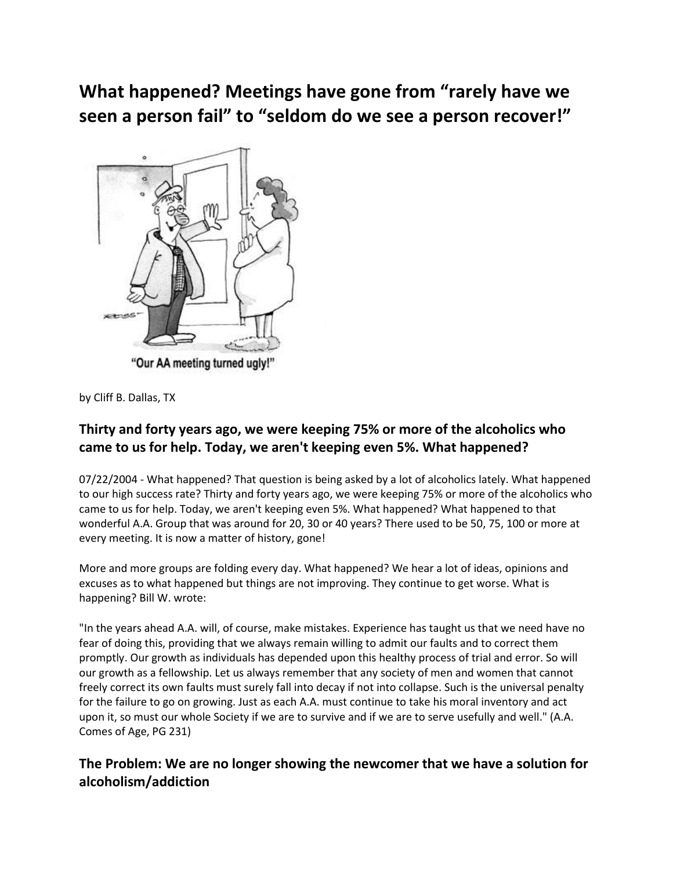# **What happened? Meetings have gone from "rarely have we seen a person fail" to "seldom do we see a person recover!"**



by Cliff B. Dallas, TX

#### **Thirty and forty years ago, we were keeping 75% or more of the alcoholics who came to us for help. Today, we aren't keeping even 5%. What happened?**

07/22/2004 - What happened? That question is being asked by a lot of alcoholics lately. What happened to our high success rate? Thirty and forty years ago, we were keeping 75% or more of the alcoholics who came to us for help. Today, we aren't keeping even 5%. What happened? What happened to that wonderful A.A. Group that was around for 20, 30 or 40 years? There used to be 50, 75, 100 or more at every meeting. It is now a matter of history, gone!

More and more groups are folding every day. What happened? We hear a lot of ideas, opinions and excuses as to what happened but things are not improving. They continue to get worse. What is happening? Bill W. wrote:

"In the years ahead A.A. will, of course, make mistakes. Experience has taught us that we need have no fear of doing this, providing that we always remain willing to admit our faults and to correct them promptly. Our growth as individuals has depended upon this healthy process of trial and error. So will our growth as a fellowship. Let us always remember that any society of men and women that cannot freely correct its own faults must surely fall into decay if not into collapse. Such is the universal penalty for the failure to go on growing. Just as each A.A. must continue to take his moral inventory and act upon it, so must our whole Society if we are to survive and if we are to serve usefully and well." (A.A. Comes of Age, PG 231)

### **The Problem: We are no longer showing the newcomer that we have a solution for alcoholism/addiction**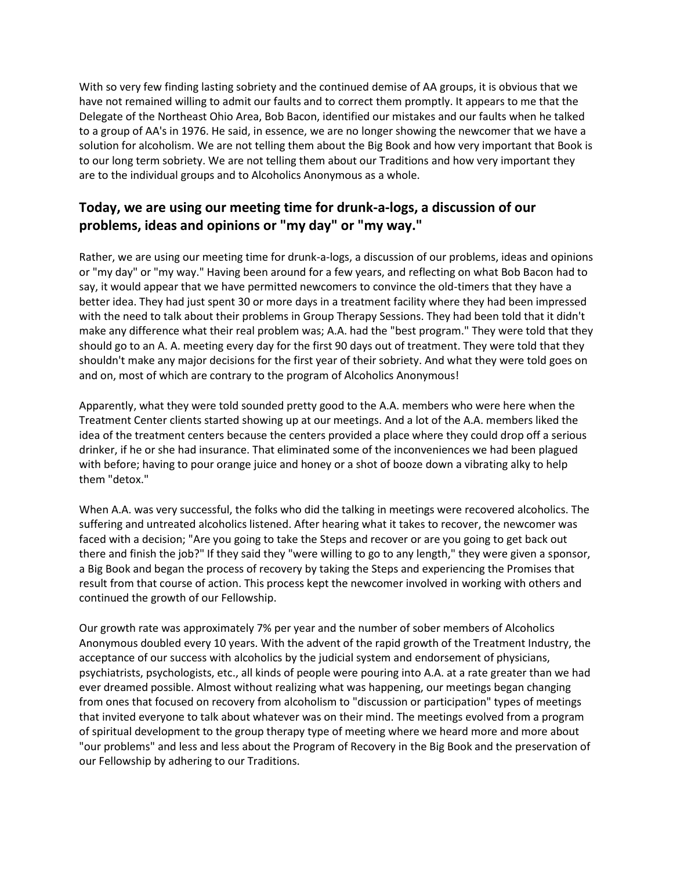With so very few finding lasting sobriety and the continued demise of AA groups, it is obvious that we have not remained willing to admit our faults and to correct them promptly. It appears to me that the Delegate of the Northeast Ohio Area, Bob Bacon, identified our mistakes and our faults when he talked to a group of AA's in 1976. He said, in essence, we are no longer showing the newcomer that we have a solution for alcoholism. We are not telling them about the Big Book and how very important that Book is to our long term sobriety. We are not telling them about our Traditions and how very important they are to the individual groups and to Alcoholics Anonymous as a whole.

#### **Today, we are using our meeting time for drunk-a-logs, a discussion of our problems, ideas and opinions or "my day" or "my way."**

Rather, we are using our meeting time for drunk-a-logs, a discussion of our problems, ideas and opinions or "my day" or "my way." Having been around for a few years, and reflecting on what Bob Bacon had to say, it would appear that we have permitted newcomers to convince the old-timers that they have a better idea. They had just spent 30 or more days in a treatment facility where they had been impressed with the need to talk about their problems in Group Therapy Sessions. They had been told that it didn't make any difference what their real problem was; A.A. had the "best program." They were told that they should go to an A. A. meeting every day for the first 90 days out of treatment. They were told that they shouldn't make any major decisions for the first year of their sobriety. And what they were told goes on and on, most of which are contrary to the program of Alcoholics Anonymous!

Apparently, what they were told sounded pretty good to the A.A. members who were here when the Treatment Center clients started showing up at our meetings. And a lot of the A.A. members liked the idea of the treatment centers because the centers provided a place where they could drop off a serious drinker, if he or she had insurance. That eliminated some of the inconveniences we had been plagued with before; having to pour orange juice and honey or a shot of booze down a vibrating alky to help them "detox."

When A.A. was very successful, the folks who did the talking in meetings were recovered alcoholics. The suffering and untreated alcoholics listened. After hearing what it takes to recover, the newcomer was faced with a decision; "Are you going to take the Steps and recover or are you going to get back out there and finish the job?" If they said they "were willing to go to any length," they were given a sponsor, a Big Book and began the process of recovery by taking the Steps and experiencing the Promises that result from that course of action. This process kept the newcomer involved in working with others and continued the growth of our Fellowship.

Our growth rate was approximately 7% per year and the number of sober members of Alcoholics Anonymous doubled every 10 years. With the advent of the rapid growth of the Treatment Industry, the acceptance of our success with alcoholics by the judicial system and endorsement of physicians, psychiatrists, psychologists, etc., all kinds of people were pouring into A.A. at a rate greater than we had ever dreamed possible. Almost without realizing what was happening, our meetings began changing from ones that focused on recovery from alcoholism to "discussion or participation" types of meetings that invited everyone to talk about whatever was on their mind. The meetings evolved from a program of spiritual development to the group therapy type of meeting where we heard more and more about "our problems" and less and less about the Program of Recovery in the Big Book and the preservation of our Fellowship by adhering to our Traditions.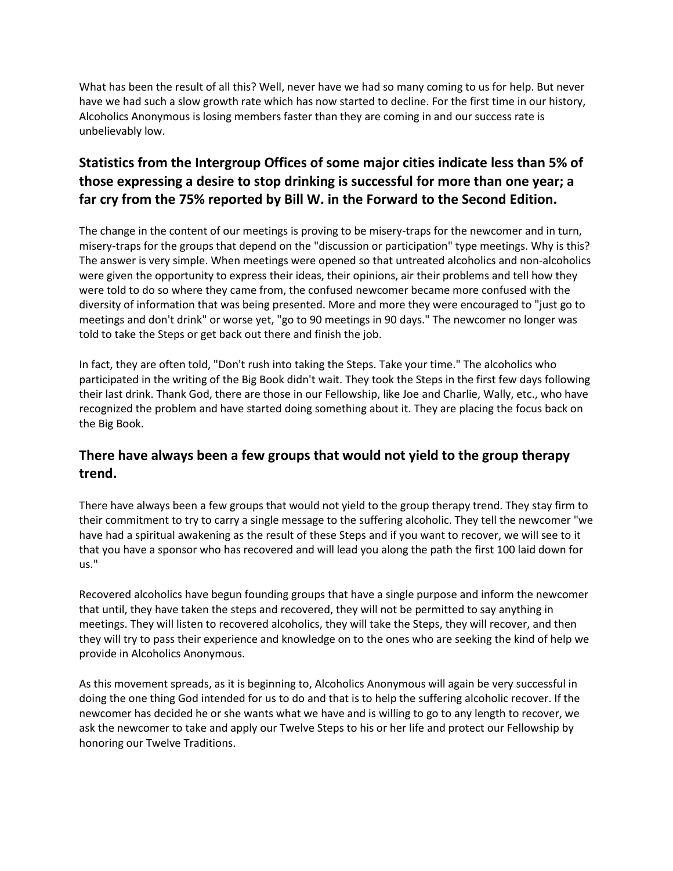What has been the result of all this? Well, never have we had so many coming to us for help. But never have we had such a slow growth rate which has now started to decline. For the first time in our history, Alcoholics Anonymous is losing members faster than they are coming in and our success rate is unbelievably low.

## **Statistics from the Intergroup Offices of some major cities indicate less than 5% of those expressing a desire to stop drinking is successful for more than one year; a far cry from the 75% reported by Bill W. in the Forward to the Second Edition.**

The change in the content of our meetings is proving to be misery-traps for the newcomer and in turn, misery-traps for the groups that depend on the "discussion or participation" type meetings. Why is this? The answer is very simple. When meetings were opened so that untreated alcoholics and non-alcoholics were given the opportunity to express their ideas, their opinions, air their problems and tell how they were told to do so where they came from, the confused newcomer became more confused with the diversity of information that was being presented. More and more they were encouraged to "just go to meetings and don't drink" or worse yet, "go to 90 meetings in 90 days." The newcomer no longer was told to take the Steps or get back out there and finish the job.

In fact, they are often told, "Don't rush into taking the Steps. Take your time." The alcoholics who participated in the writing of the Big Book didn't wait. They took the Steps in the first few days following their last drink. Thank God, there are those in our Fellowship, like Joe and Charlie, Wally, etc., who have recognized the problem and have started doing something about it. They are placing the focus back on the Big Book.

#### **There have always been a few groups that would not yield to the group therapy trend.**

There have always been a few groups that would not yield to the group therapy trend. They stay firm to their commitment to try to carry a single message to the suffering alcoholic. They tell the newcomer "we have had a spiritual awakening as the result of these Steps and if you want to recover, we will see to it that you have a sponsor who has recovered and will lead you along the path the first 100 laid down for us."

Recovered alcoholics have begun founding groups that have a single purpose and inform the newcomer that until, they have taken the steps and recovered, they will not be permitted to say anything in meetings. They will listen to recovered alcoholics, they will take the Steps, they will recover, and then they will try to pass their experience and knowledge on to the ones who are seeking the kind of help we provide in Alcoholics Anonymous.

As this movement spreads, as it is beginning to, Alcoholics Anonymous will again be very successful in doing the one thing God intended for us to do and that is to help the suffering alcoholic recover. If the newcomer has decided he or she wants what we have and is willing to go to any length to recover, we ask the newcomer to take and apply our Twelve Steps to his or her life and protect our Fellowship by honoring our Twelve Traditions.